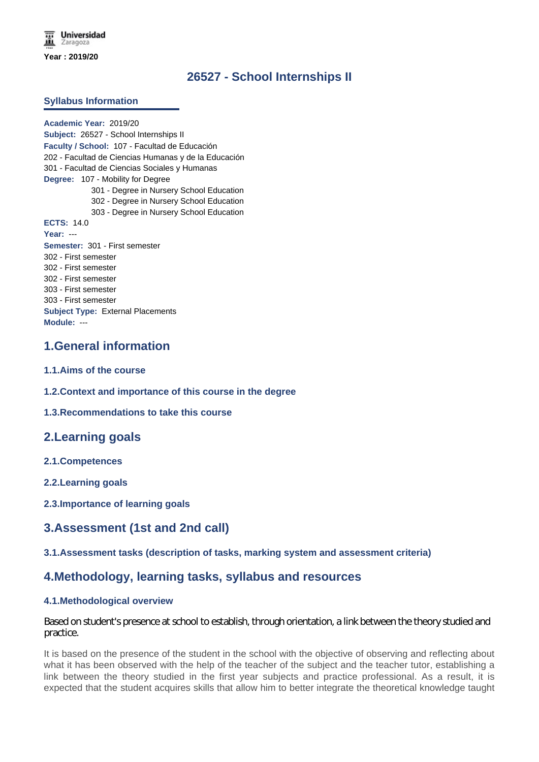# **26527 - School Internships II**

## **Syllabus Information**

**Academic Year:** 2019/20 **Subject:** 26527 - School Internships II **Faculty / School:** 107 - Facultad de Educación 202 - Facultad de Ciencias Humanas y de la Educación 301 - Facultad de Ciencias Sociales y Humanas **Degree:** 107 - Mobility for Degree 301 - Degree in Nursery School Education 302 - Degree in Nursery School Education 303 - Degree in Nursery School Education **ECTS:** 14.0 **Year:** --- **Semester:** 301 - First semester 302 - First semester 302 - First semester 302 - First semester 303 - First semester 303 - First semester **Subject Type:** External Placements **Module:** ---

## **1.General information**

- **1.1.Aims of the course**
- **1.2.Context and importance of this course in the degree**

**1.3.Recommendations to take this course**

## **2.Learning goals**

**2.1.Competences**

**2.2.Learning goals**

**2.3.Importance of learning goals**

## **3.Assessment (1st and 2nd call)**

## **3.1.Assessment tasks (description of tasks, marking system and assessment criteria)**

## **4.Methodology, learning tasks, syllabus and resources**

#### **4.1.Methodological overview**

Based on student's presence at school to establish, through orientation, a link between the theory studied and practice.

It is based on the presence of the student in the school with the objective of observing and reflecting about what it has been observed with the help of the teacher of the subject and the teacher tutor, establishing a link between the theory studied in the first year subjects and practice professional. As a result, it is expected that the student acquires skills that allow him to better integrate the theoretical knowledge taught